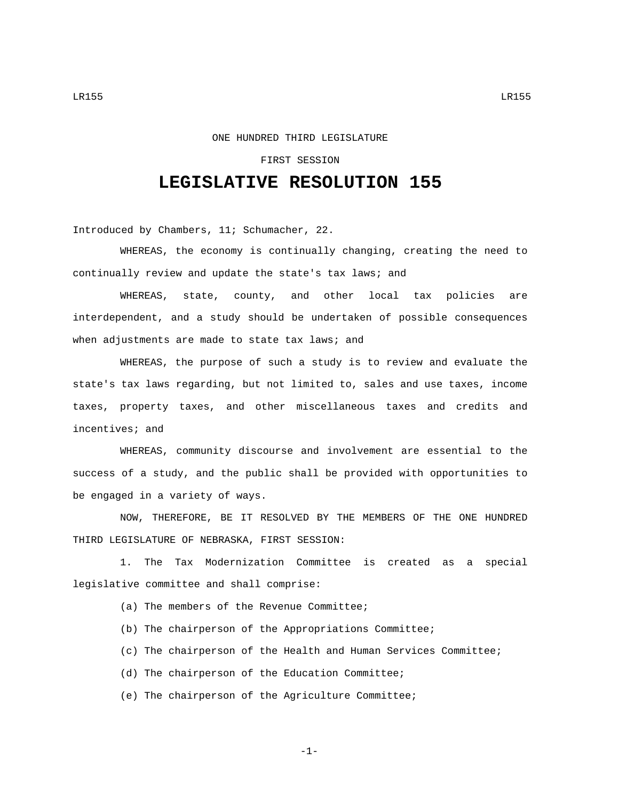## ONE HUNDRED THIRD LEGISLATURE

## FIRST SESSION

## **LEGISLATIVE RESOLUTION 155**

Introduced by Chambers, 11; Schumacher, 22.

WHEREAS, the economy is continually changing, creating the need to continually review and update the state's tax laws; and

WHEREAS, state, county, and other local tax policies are interdependent, and a study should be undertaken of possible consequences when adjustments are made to state tax laws; and

WHEREAS, the purpose of such a study is to review and evaluate the state's tax laws regarding, but not limited to, sales and use taxes, income taxes, property taxes, and other miscellaneous taxes and credits and incentives; and

WHEREAS, community discourse and involvement are essential to the success of a study, and the public shall be provided with opportunities to be engaged in a variety of ways.

NOW, THEREFORE, BE IT RESOLVED BY THE MEMBERS OF THE ONE HUNDRED THIRD LEGISLATURE OF NEBRASKA, FIRST SESSION:

1. The Tax Modernization Committee is created as a special legislative committee and shall comprise:

- (a) The members of the Revenue Committee;
- (b) The chairperson of the Appropriations Committee;
- (c) The chairperson of the Health and Human Services Committee;
- (d) The chairperson of the Education Committee;
- (e) The chairperson of the Agriculture Committee;

-1-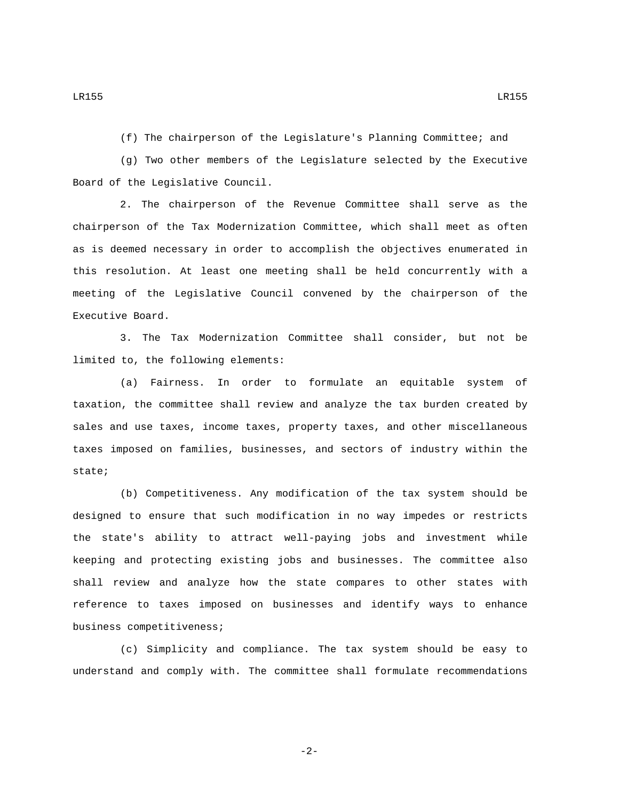(f) The chairperson of the Legislature's Planning Committee; and

(g) Two other members of the Legislature selected by the Executive Board of the Legislative Council.

2. The chairperson of the Revenue Committee shall serve as the chairperson of the Tax Modernization Committee, which shall meet as often as is deemed necessary in order to accomplish the objectives enumerated in this resolution. At least one meeting shall be held concurrently with a meeting of the Legislative Council convened by the chairperson of the Executive Board.

3. The Tax Modernization Committee shall consider, but not be limited to, the following elements:

(a) Fairness. In order to formulate an equitable system of taxation, the committee shall review and analyze the tax burden created by sales and use taxes, income taxes, property taxes, and other miscellaneous taxes imposed on families, businesses, and sectors of industry within the state;

(b) Competitiveness. Any modification of the tax system should be designed to ensure that such modification in no way impedes or restricts the state's ability to attract well-paying jobs and investment while keeping and protecting existing jobs and businesses. The committee also shall review and analyze how the state compares to other states with reference to taxes imposed on businesses and identify ways to enhance business competitiveness;

(c) Simplicity and compliance. The tax system should be easy to understand and comply with. The committee shall formulate recommendations

LR155 LR155

-2-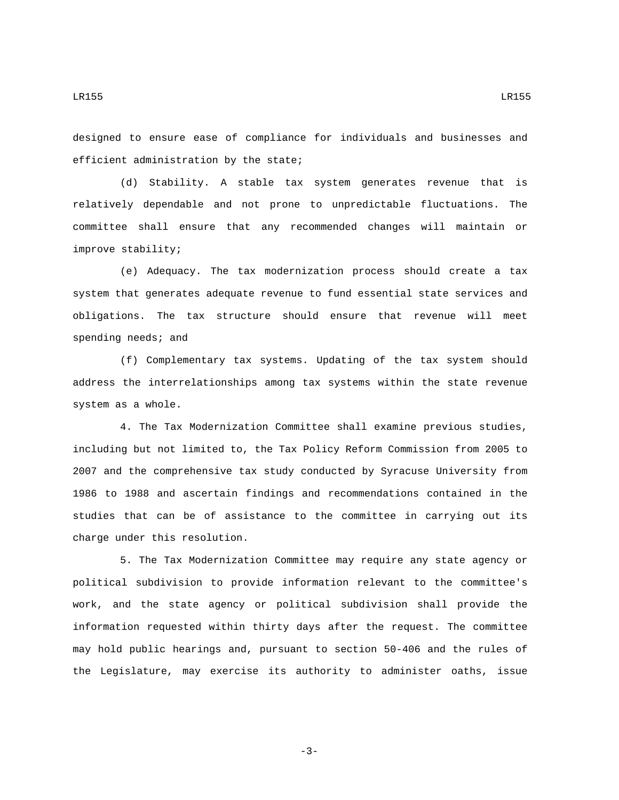designed to ensure ease of compliance for individuals and businesses and efficient administration by the state;

(d) Stability. A stable tax system generates revenue that is relatively dependable and not prone to unpredictable fluctuations. The committee shall ensure that any recommended changes will maintain or improve stability;

(e) Adequacy. The tax modernization process should create a tax system that generates adequate revenue to fund essential state services and obligations. The tax structure should ensure that revenue will meet spending needs; and

(f) Complementary tax systems. Updating of the tax system should address the interrelationships among tax systems within the state revenue system as a whole.

4. The Tax Modernization Committee shall examine previous studies, including but not limited to, the Tax Policy Reform Commission from 2005 to 2007 and the comprehensive tax study conducted by Syracuse University from 1986 to 1988 and ascertain findings and recommendations contained in the studies that can be of assistance to the committee in carrying out its charge under this resolution.

5. The Tax Modernization Committee may require any state agency or political subdivision to provide information relevant to the committee's work, and the state agency or political subdivision shall provide the information requested within thirty days after the request. The committee may hold public hearings and, pursuant to section 50-406 and the rules of the Legislature, may exercise its authority to administer oaths, issue

LR155 LR155